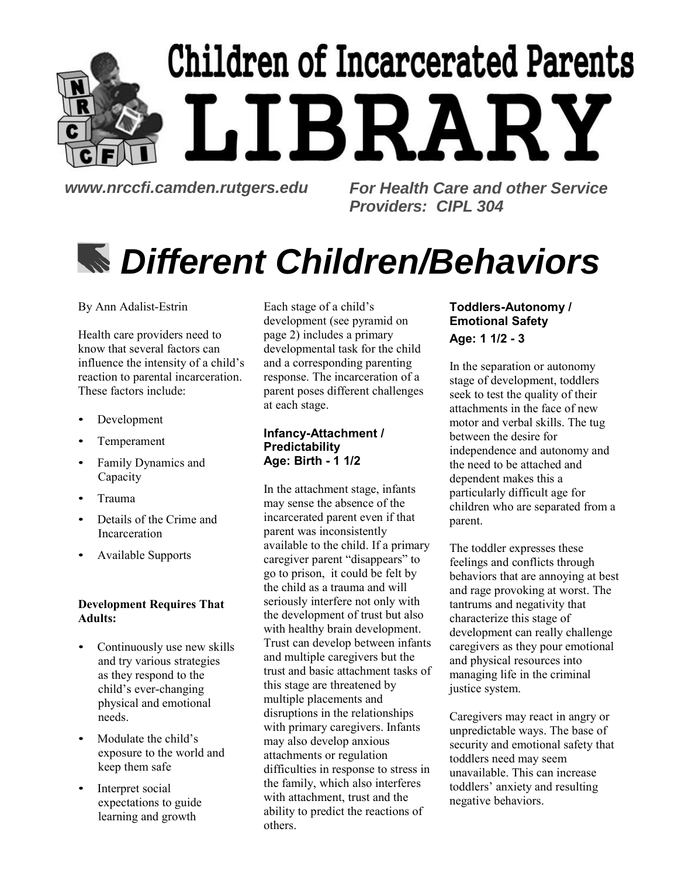# Children of Incarcerated Parents LIBRARY

*www.nrccfi.camden.rutgers.edu For Health Care and other Service Providers: CIPL 304*

## *Different Children/Behaviors*

By Ann Adalist-Estrin

Health care providers need to know that several factors can influence the intensity of a child's reaction to parental incarceration. These factors include:

- Development
- Temperament
- Family Dynamics and Capacity
- Trauma
- Details of the Crime and Incarceration
- Available Supports

## **Development Requires That Adults:**

- Continuously use new skills and try various strategies as they respond to the child's ever-changing physical and emotional needs.
- Modulate the child's exposure to the world and keep them safe
- Interpret social expectations to guide learning and growth

Each stage of a child's development (see pyramid on page 2) includes a primary developmental task for the child and a corresponding parenting response. The incarceration of a parent poses different challenges at each stage.

## **Infancy-Attachment / Predictability Age: Birth - 1 1/2**

In the attachment stage, infants may sense the absence of the incarcerated parent even if that parent was inconsistently available to the child. If a primary caregiver parent "disappears" to go to prison, it could be felt by the child as a trauma and will seriously interfere not only with the development of trust but also with healthy brain development. Trust can develop between infants and multiple caregivers but the trust and basic attachment tasks of this stage are threatened by multiple placements and disruptions in the relationships with primary caregivers. Infants may also develop anxious attachments or regulation difficulties in response to stress in the family, which also interferes with attachment, trust and the ability to predict the reactions of others.

## **Toddlers-Autonomy / Emotional Safety Age: 1 1/2 - 3**

In the separation or autonomy stage of development, toddlers seek to test the quality of their attachments in the face of new motor and verbal skills. The tug between the desire for independence and autonomy and the need to be attached and dependent makes this a particularly difficult age for children who are separated from a parent.

The toddler expresses these feelings and conflicts through behaviors that are annoying at best and rage provoking at worst. The tantrums and negativity that characterize this stage of development can really challenge caregivers as they pour emotional and physical resources into managing life in the criminal justice system.

Caregivers may react in angry or unpredictable ways. The base of security and emotional safety that toddlers need may seem unavailable. This can increase toddlers' anxiety and resulting negative behaviors.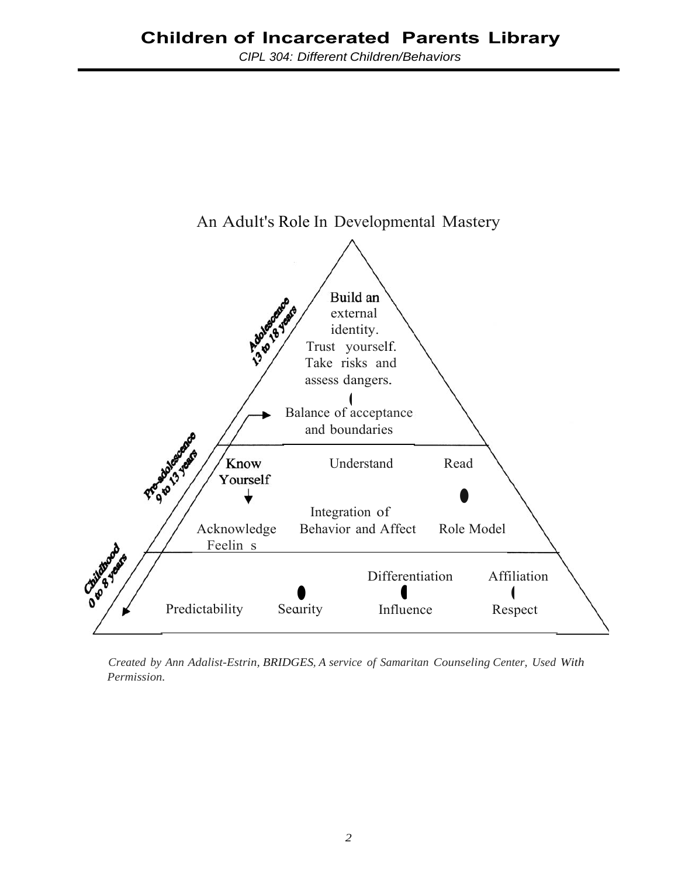

*Created by Ann Adalist-Estrin, BRIDGES, A service of Samaritan Counseling Center, Used With Permission.*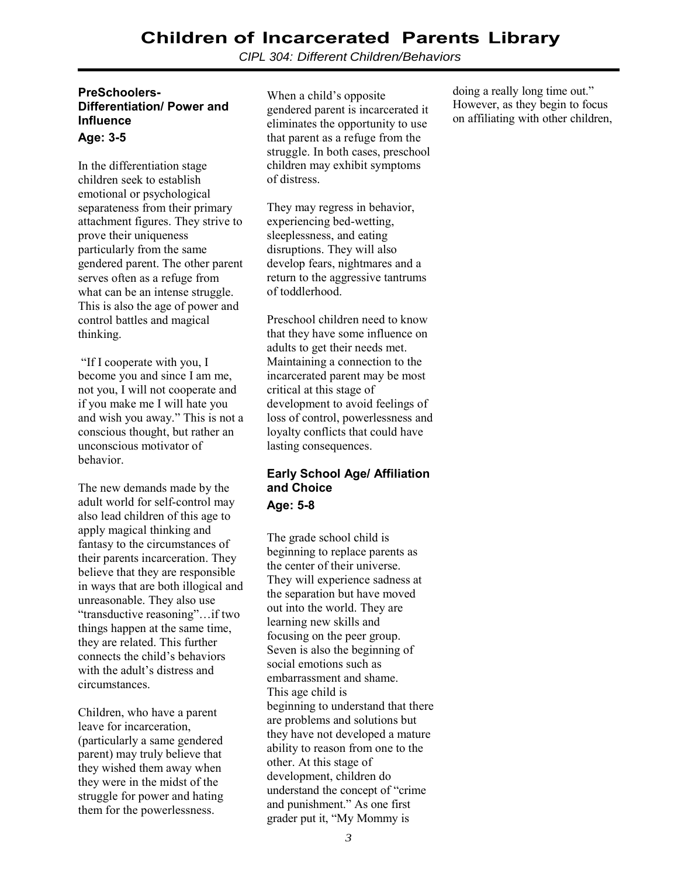*CIPL 304: Different Children/Behaviors*

#### **PreSchoolers-Differentiation/ Power and Influence Age: 3-5**

In the differentiation stage children seek to establish emotional or psychological separateness from their primary attachment figures. They strive to prove their uniqueness particularly from the same gendered parent. The other parent serves often as a refuge from what can be an intense struggle. This is also the age of power and control battles and magical thinking.

"If I cooperate with you, I become you and since I am me, not you, I will not cooperate and if you make me I will hate you and wish you away." This is not a conscious thought, but rather an unconscious motivator of behavior.

The new demands made by the adult world for self-control may also lead children of this age to apply magical thinking and fantasy to the circumstances of their parents incarceration. They believe that they are responsible in ways that are both illogical and unreasonable. They also use "transductive reasoning"…if two things happen at the same time, they are related. This further connects the child's behaviors with the adult's distress and circumstances.

Children, who have a parent leave for incarceration, (particularly a same gendered parent) may truly believe that they wished them away when they were in the midst of the struggle for power and hating them for the powerlessness.

When a child's opposite gendered parent is incarcerated it eliminates the opportunity to use that parent as a refuge from the struggle. In both cases, preschool children may exhibit symptoms of distress.

They may regress in behavior, experiencing bed-wetting, sleeplessness, and eating disruptions. They will also develop fears, nightmares and a return to the aggressive tantrums of toddlerhood.

Preschool children need to know that they have some influence on adults to get their needs met. Maintaining a connection to the incarcerated parent may be most critical at this stage of development to avoid feelings of loss of control, powerlessness and loyalty conflicts that could have lasting consequences.

## **Early School Age/ Affiliation and Choice Age: 5-8**

The grade school child is beginning to replace parents as the center of their universe. They will experience sadness at the separation but have moved out into the world. They are learning new skills and focusing on the peer group. Seven is also the beginning of social emotions such as embarrassment and shame. This age child is beginning to understand that there are problems and solutions but they have not developed a mature ability to reason from one to the other. At this stage of development, children do understand the concept of "crime and punishment." As one first grader put it, "My Mommy is

doing a really long time out." However, as they begin to focus on affiliating with other children,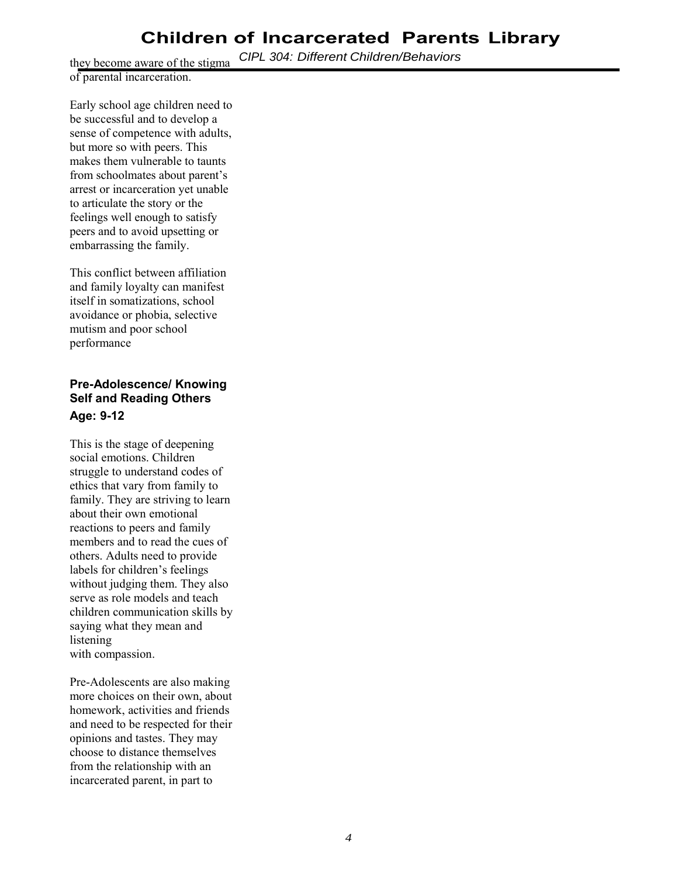*CIPL 304: Different Children/Behaviors*

they become aware of the stigma of parental incarceration.

Early school age children need to be successful and to develop a sense of competence with adults, but more so with peers. This makes them vulnerable to taunts from schoolmates about parent's arrest or incarceration yet unable to articulate the story or the feelings well enough to satisfy peers and to avoid upsetting or embarrassing the family.

This conflict between affiliation and family loyalty can manifest itself in somatizations, school avoidance or phobia, selective mutism and poor school performance

## **Pre-Adolescence/ Knowing Self and Reading Others Age: 9-12**

This is the stage of deepening social emotions. Children struggle to understand codes of ethics that vary from family to family. They are striving to learn about their own emotional reactions to peers and family members and to read the cues of others. Adults need to provide labels for children's feelings without judging them. They also serve as role models and teach children communication skills by saying what they mean and listening with compassion.

Pre-Adolescents are also making more choices on their own, about homework, activities and friends and need to be respected for their opinions and tastes. They may choose to distance themselves from the relationship with an incarcerated parent, in part to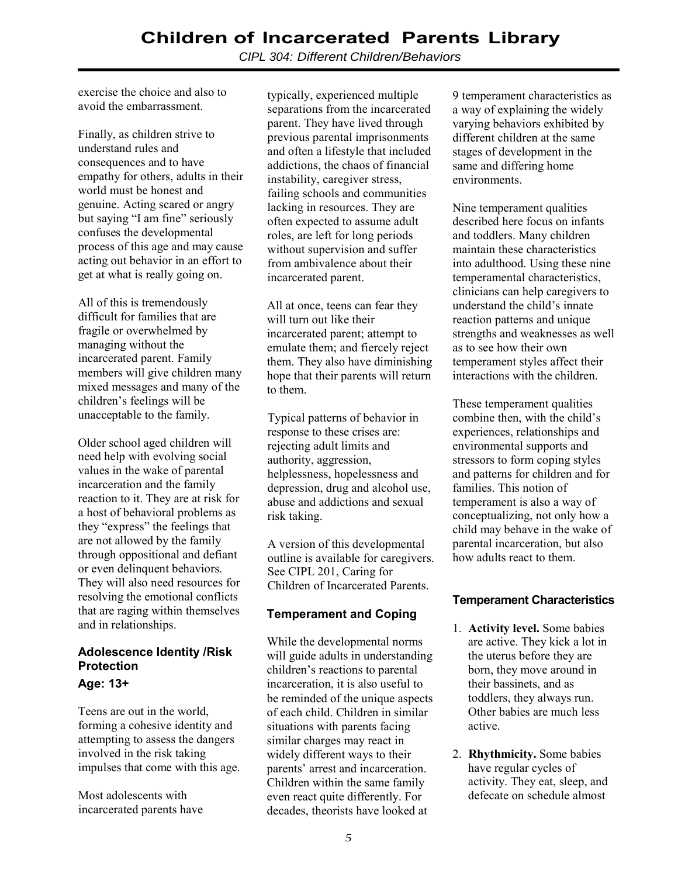*CIPL 304: Different Children/Behaviors*

exercise the choice and also to avoid the embarrassment.

Finally, as children strive to understand rules and consequences and to have empathy for others, adults in their world must be honest and genuine. Acting scared or angry but saying "I am fine" seriously confuses the developmental process of this age and may cause acting out behavior in an effort to get at what is really going on.

All of this is tremendously difficult for families that are fragile or overwhelmed by managing without the incarcerated parent. Family members will give children many mixed messages and many of the children's feelings will be unacceptable to the family.

Older school aged children will need help with evolving social values in the wake of parental incarceration and the family reaction to it. They are at risk for a host of behavioral problems as they "express" the feelings that are not allowed by the family through oppositional and defiant or even delinquent behaviors. They will also need resources for resolving the emotional conflicts that are raging within themselves and in relationships.

## **Adolescence Identity /Risk Protection**

#### **Age: 13+**

Teens are out in the world, forming a cohesive identity and attempting to assess the dangers involved in the risk taking impulses that come with this age.

Most adolescents with incarcerated parents have typically, experienced multiple separations from the incarcerated parent. They have lived through previous parental imprisonments and often a lifestyle that included addictions, the chaos of financial instability, caregiver stress, failing schools and communities lacking in resources. They are often expected to assume adult roles, are left for long periods without supervision and suffer from ambivalence about their incarcerated parent.

All at once, teens can fear they will turn out like their incarcerated parent; attempt to emulate them; and fiercely reject them. They also have diminishing hope that their parents will return to them.

Typical patterns of behavior in response to these crises are: rejecting adult limits and authority, aggression, helplessness, hopelessness and depression, drug and alcohol use, abuse and addictions and sexual risk taking.

A version of this developmental outline is available for caregivers. See CIPL 201, Caring for Children of Incarcerated Parents.

## **Temperament and Coping**

While the developmental norms will guide adults in understanding children's reactions to parental incarceration, it is also useful to be reminded of the unique aspects of each child. Children in similar situations with parents facing similar charges may react in widely different ways to their parents' arrest and incarceration. Children within the same family even react quite differently. For decades, theorists have looked at

9 temperament characteristics as a way of explaining the widely varying behaviors exhibited by different children at the same stages of development in the same and differing home environments.

Nine temperament qualities described here focus on infants and toddlers. Many children maintain these characteristics into adulthood. Using these nine temperamental characteristics, clinicians can help caregivers to understand the child's innate reaction patterns and unique strengths and weaknesses as well as to see how their own temperament styles affect their interactions with the children.

These temperament qualities combine then, with the child's experiences, relationships and environmental supports and stressors to form coping styles and patterns for children and for families. This notion of temperament is also a way of conceptualizing, not only how a child may behave in the wake of parental incarceration, but also how adults react to them.

## **Temperament Characteristics**

- 1. **Activity level.** Some babies are active. They kick a lot in the uterus before they are born, they move around in their bassinets, and as toddlers, they always run. Other babies are much less active.
- 2. **Rhythmicity.** Some babies have regular cycles of activity. They eat, sleep, and defecate on schedule almost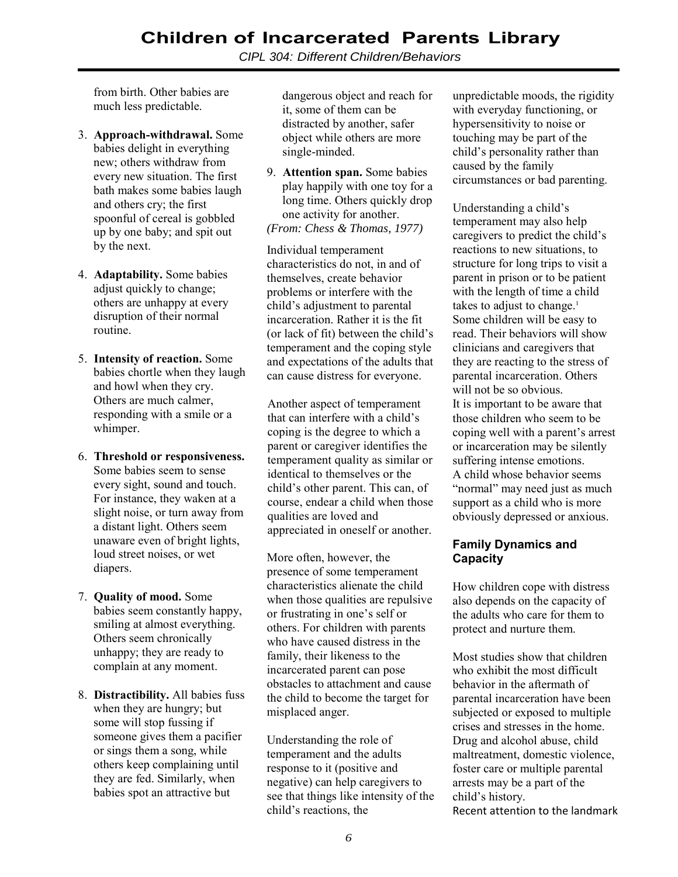*CIPL 304: Different Children/Behaviors*

from birth. Other babies are much less predictable.

- 3. **Approach-withdrawal.** Some babies delight in everything new; others withdraw from every new situation. The first bath makes some babies laugh and others cry; the first spoonful of cereal is gobbled up by one baby; and spit out by the next.
- 4. **Adaptability.** Some babies adjust quickly to change; others are unhappy at every disruption of their normal routine.
- 5. **Intensity of reaction.** Some babies chortle when they laugh and howl when they cry. Others are much calmer, responding with a smile or a whimper.
- 6. **Threshold or responsiveness.** Some babies seem to sense every sight, sound and touch. For instance, they waken at a slight noise, or turn away from a distant light. Others seem unaware even of bright lights, loud street noises, or wet diapers.
- 7. **Quality of mood.** Some babies seem constantly happy, smiling at almost everything. Others seem chronically unhappy; they are ready to complain at any moment.
- 8. **Distractibility.** All babies fuss when they are hungry; but some will stop fussing if someone gives them a pacifier or sings them a song, while others keep complaining until they are fed. Similarly, when babies spot an attractive but

dangerous object and reach for it, some of them can be distracted by another, safer object while others are more single-minded.

9. **Attention span.** Some babies play happily with one toy for a long time. Others quickly drop one activity for another. *(From: Chess & Thomas, 1977)*

Individual temperament characteristics do not, in and of themselves, create behavior problems or interfere with the child's adjustment to parental incarceration. Rather it is the fit (or lack of fit) between the child's temperament and the coping style and expectations of the adults that can cause distress for everyone.

Another aspect of temperament that can interfere with a child's coping is the degree to which a parent or caregiver identifies the temperament quality as similar or identical to themselves or the child's other parent. This can, of course, endear a child when those qualities are loved and appreciated in oneself or another.

More often, however, the presence of some temperament characteristics alienate the child when those qualities are repulsive or frustrating in one's self or others. For children with parents who have caused distress in the family, their likeness to the incarcerated parent can pose obstacles to attachment and cause the child to become the target for misplaced anger.

Understanding the role of temperament and the adults response to it (positive and negative) can help caregivers to see that things like intensity of the child's reactions, the

unpredictable moods, the rigidity with everyday functioning, or hypersensitivity to noise or touching may be part of the child's personality rather than caused by the family circumstances or bad parenting.

Understanding a child's temperament may also help caregivers to predict the child's reactions to new situations, to structure for long trips to visit a parent in prison or to be patient with the length of time a child takes to adjust to change.<sup>1</sup> Some children will be easy to read. Their behaviors will show clinicians and caregivers that they are reacting to the stress of parental incarceration. Others will not be so obvious. It is important to be aware that those children who seem to be coping well with a parent's arrest or incarceration may be silently suffering intense emotions. A child whose behavior seems "normal" may need just as much support as a child who is more obviously depressed or anxious.

#### **Family Dynamics and Capacity**

How children cope with distress also depends on the capacity of the adults who care for them to protect and nurture them.

Most studies show that children who exhibit the most difficult behavior in the aftermath of parental incarceration have been subjected or exposed to multiple crises and stresses in the home. Drug and alcohol abuse, child maltreatment, domestic violence, foster care or multiple parental arrests may be a part of the child's history. Recent attention to the landmark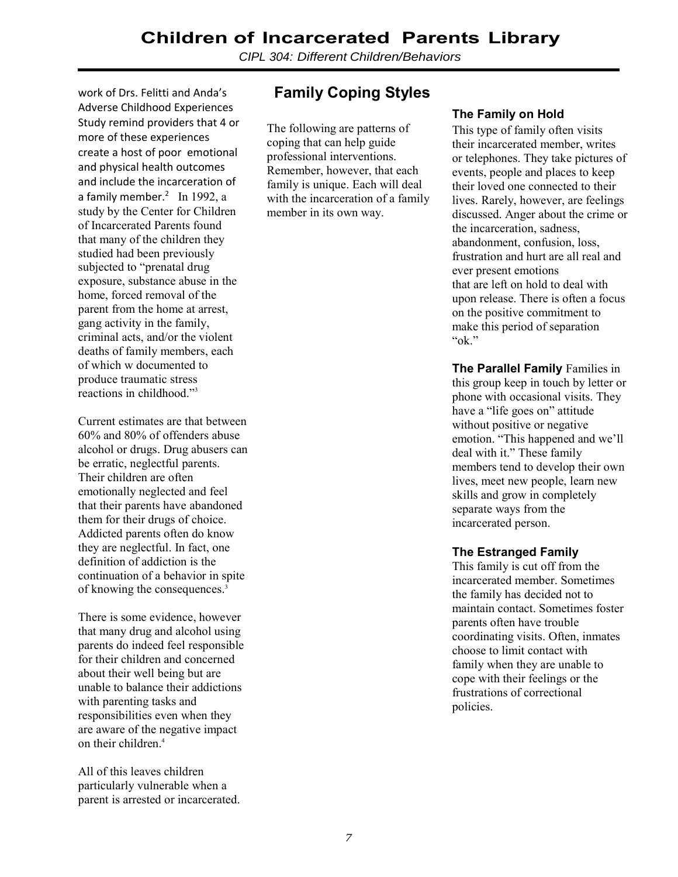*CIPL 304: Different Children/Behaviors*

work of Drs. Felitti and Anda's Adverse Childhood Experiences Study remind providers that 4 or more of these experiences create a host of poor emotional and physical health outcomes and include the incarceration of a family member.<sup>2</sup> In 1992, a study by the Center for Children of Incarcerated Parents found that many of the children they studied had been previously subjected to "prenatal drug exposure, substance abuse in the home, forced removal of the parent from the home at arrest, gang activity in the family, criminal acts, and/or the violent deaths of family members, each of which w documented to produce traumatic stress reactions in childhood."3

Current estimates are that between 60% and 80% of offenders abuse alcohol or drugs. Drug abusers can be erratic, neglectful parents. Their children are often emotionally neglected and feel that their parents have abandoned them for their drugs of choice. Addicted parents often do know they are neglectful. In fact, one definition of addiction is the continuation of a behavior in spite of knowing the consequences.3

There is some evidence, however that many drug and alcohol using parents do indeed feel responsible for their children and concerned about their well being but are unable to balance their addictions with parenting tasks and responsibilities even when they are aware of the negative impact on their children.4

All of this leaves children particularly vulnerable when a parent is arrested or incarcerated.

## **Family Coping Styles**

The following are patterns of coping that can help guide professional interventions. Remember, however, that each family is unique. Each will deal with the incarceration of a family member in its own way.

## **The Family on Hold**

This type of family often visits their incarcerated member, writes or telephones. They take pictures of events, people and places to keep their loved one connected to their lives. Rarely, however, are feelings discussed. Anger about the crime or the incarceration, sadness, abandonment, confusion, loss, frustration and hurt are all real and ever present emotions that are left on hold to deal with upon release. There is often a focus on the positive commitment to make this period of separation "ok."

**The Parallel Family** Families in this group keep in touch by letter or phone with occasional visits. They have a "life goes on" attitude without positive or negative emotion. "This happened and we'll deal with it." These family members tend to develop their own lives, meet new people, learn new skills and grow in completely separate ways from the incarcerated person.

#### **The Estranged Family**

This family is cut off from the incarcerated member. Sometimes the family has decided not to maintain contact. Sometimes foster parents often have trouble coordinating visits. Often, inmates choose to limit contact with family when they are unable to cope with their feelings or the frustrations of correctional policies.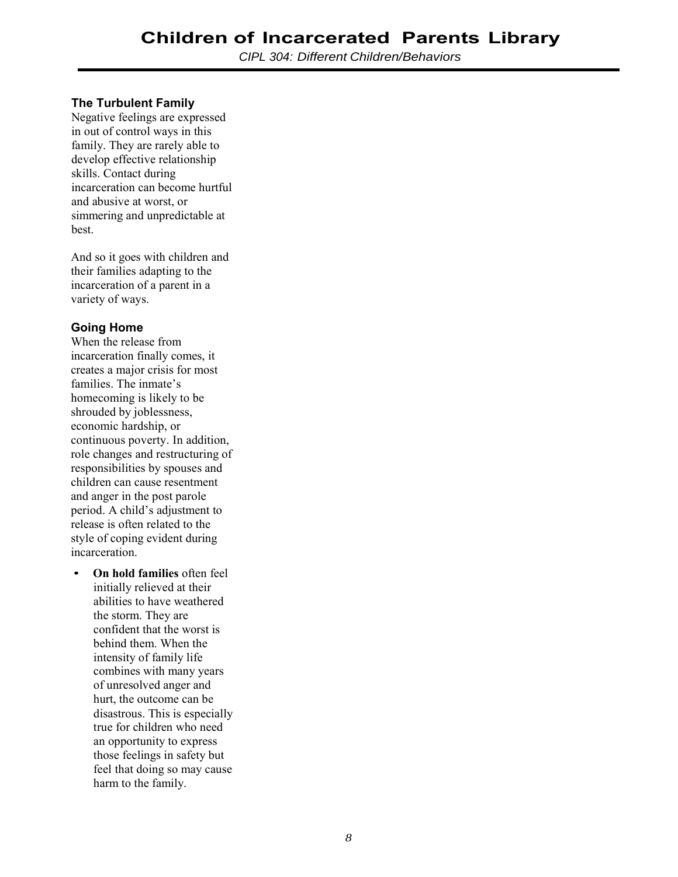## **The Turbulent Family**

Negative feelings are expressed in out of control ways in this family. They are rarely able to develop effective relationship skills. Contact during incarceration can become hurtful and abusive at worst, or simmering and unpredictable at best.

And so it goes with children and their families adapting to the incarceration of a parent in a variety of ways.

## **Going Home**

When the release from incarceration finally comes, it creates a major crisis for most families. The inmate's homecoming is likely to be shrouded by joblessness, economic hardship, or continuous poverty. In addition, role changes and restructuring of responsibilities by spouses and children can cause resentment and anger in the post parole period. A child's adjustment to release is often related to the style of coping evident during incarceration.

• **On hold families** often feel initially relieved at their abilities to have weathered the storm. They are confident that the worst is behind them. When the intensity of family life combines with many years of unresolved anger and hurt, the outcome can be disastrous. This is especially true for children who need an opportunity to express those feelings in safety but feel that doing so may cause harm to the family.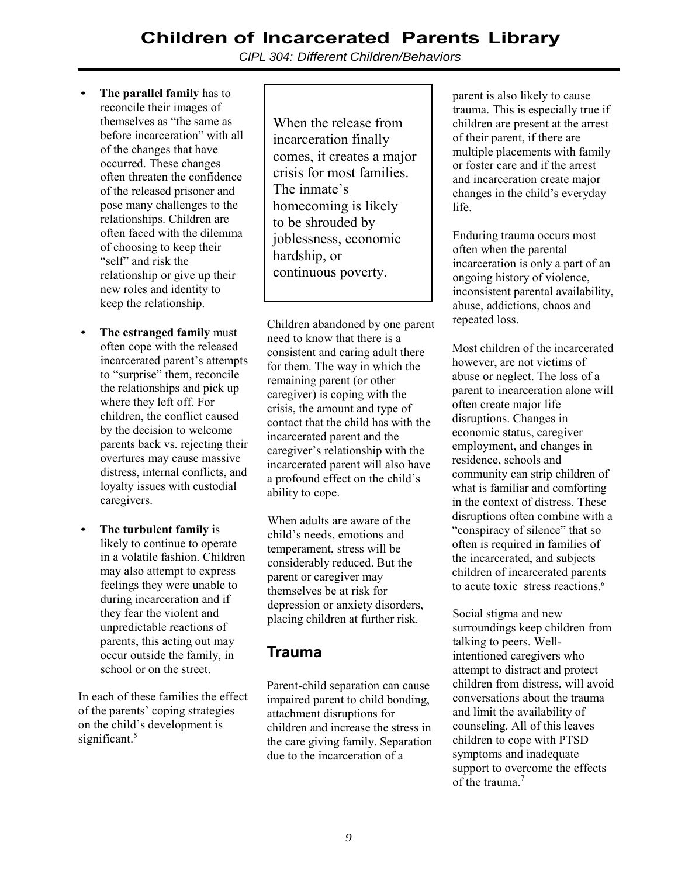*CIPL 304: Different Children/Behaviors*

- **The parallel family** has to reconcile their images of themselves as "the same as before incarceration" with all of the changes that have occurred. These changes often threaten the confidence of the released prisoner and pose many challenges to the relationships. Children are often faced with the dilemma of choosing to keep their "self" and risk the relationship or give up their new roles and identity to keep the relationship.
- **The estranged family** must often cope with the released incarcerated parent's attempts to "surprise" them, reconcile the relationships and pick up where they left off. For children, the conflict caused by the decision to welcome parents back vs. rejecting their overtures may cause massive distress, internal conflicts, and loyalty issues with custodial caregivers.
- **The turbulent family** is likely to continue to operate in a volatile fashion. Children may also attempt to express feelings they were unable to during incarceration and if they fear the violent and unpredictable reactions of parents, this acting out may occur outside the family, in school or on the street.

In each of these families the effect of the parents' coping strategies on the child's development is significant.<sup>5</sup>

When the release from incarceration finally comes, it creates a major crisis for most families. The inmate's homecoming is likely to be shrouded by joblessness, economic hardship, or continuous poverty.

Children abandoned by one parent need to know that there is a consistent and caring adult there for them. The way in which the remaining parent (or other caregiver) is coping with the crisis, the amount and type of contact that the child has with the incarcerated parent and the caregiver's relationship with the incarcerated parent will also have a profound effect on the child's ability to cope.

When adults are aware of the child's needs, emotions and temperament, stress will be considerably reduced. But the parent or caregiver may themselves be at risk for depression or anxiety disorders, placing children at further risk.

## **Trauma**

Parent-child separation can cause impaired parent to child bonding, attachment disruptions for children and increase the stress in the care giving family. Separation due to the incarceration of a

parent is also likely to cause trauma. This is especially true if children are present at the arrest of their parent, if there are multiple placements with family or foster care and if the arrest and incarceration create major changes in the child's everyday life.

Enduring trauma occurs most often when the parental incarceration is only a part of an ongoing history of violence, inconsistent parental availability, abuse, addictions, chaos and repeated loss.

Most children of the incarcerated however, are not victims of abuse or neglect. The loss of a parent to incarceration alone will often create major life disruptions. Changes in economic status, caregiver employment, and changes in residence, schools and community can strip children of what is familiar and comforting in the context of distress. These disruptions often combine with a "conspiracy of silence" that so often is required in families of the incarcerated, and subjects children of incarcerated parents to acute toxic stress reactions.<sup>6</sup>

Social stigma and new surroundings keep children from talking to peers. Wellintentioned caregivers who attempt to distract and protect children from distress, will avoid conversations about the trauma and limit the availability of counseling. All of this leaves children to cope with PTSD symptoms and inadequate support to overcome the effects of the trauma.<sup>7</sup>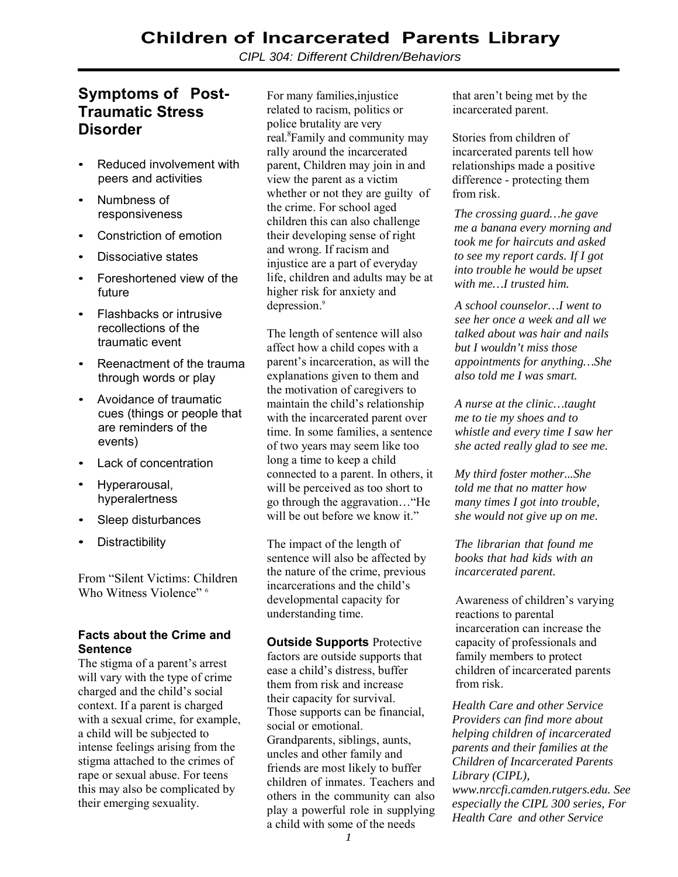*CIPL 304: Different Children/Behaviors*

## **Symptoms of Post-Traumatic Stress Disorder**

- Reduced involvement with peers and activities
- Numbness of responsiveness
- Constriction of emotion
- Dissociative states
- Foreshortened view of the future
- Flashbacks or intrusive recollections of the traumatic event
- Reenactment of the trauma through words or play
- Avoidance of traumatic cues (things or people that are reminders of the events)
- Lack of concentration
- Hyperarousal, hyperalertness
- Sleep disturbances
- **Distractibility**

From "Silent Victims: Children Who Witness Violence"<sup>6</sup>

#### **Facts about the Crime and Sentence**

The stigma of a parent's arrest will vary with the type of crime charged and the child's social context. If a parent is charged with a sexual crime, for example, a child will be subjected to intense feelings arising from the stigma attached to the crimes of rape or sexual abuse. For teens this may also be complicated by their emerging sexuality.

For many families,injustice related to racism, politics or police brutality are very real.<sup>8</sup>Family and community may rally around the incarcerated parent, Children may join in and view the parent as a victim whether or not they are guilty of the crime. For school aged children this can also challenge their developing sense of right and wrong. If racism and injustice are a part of everyday life, children and adults may be at higher risk for anxiety and depression.<sup>9</sup>

The length of sentence will also affect how a child copes with a parent's incarceration, as will the explanations given to them and the motivation of caregivers to maintain the child's relationship with the incarcerated parent over time. In some families, a sentence of two years may seem like too long a time to keep a child connected to a parent. In others, it will be perceived as too short to go through the aggravation…"He will be out before we know it."

The impact of the length of sentence will also be affected by the nature of the crime, previous incarcerations and the child's developmental capacity for understanding time.

**Outside Supports** Protective factors are outside supports that ease a child's distress, buffer them from risk and increase their capacity for survival. Those supports can be financial, social or emotional. Grandparents, siblings, aunts, uncles and other family and friends are most likely to buffer children of inmates. Teachers and others in the community can also play a powerful role in supplying a child with some of the needs

that aren't being met by the incarcerated parent.

Stories from children of incarcerated parents tell how relationships made a positive difference - protecting them from risk.

*The crossing guard…he gave me a banana every morning and took me for haircuts and asked to see my report cards. If I got into trouble he would be upset with me…I trusted him.*

*A school counselor…I went to see her once a week and all we talked about was hair and nails but I wouldn't miss those appointments for anything…She also told me I was smart.*

*A nurse at the clinic…taught me to tie my shoes and to whistle and every time I saw her she acted really glad to see me.*

*My third foster mother...She told me that no matter how many times I got into trouble, she would not give up on me.*

*The librarian that found me books that had kids with an incarcerated parent.*

Awareness of children's varying reactions to parental incarceration can increase the capacity of professionals and family members to protect children of incarcerated parents from risk.

*Health Care and other Service Providers can find more about helping children of incarcerated parents and their families at the Children of Incarcerated Parents Library (CIPL), www.nrccfi.camden.rutgers.edu. See especially the CIPL 300 series, For Health Care and other Service*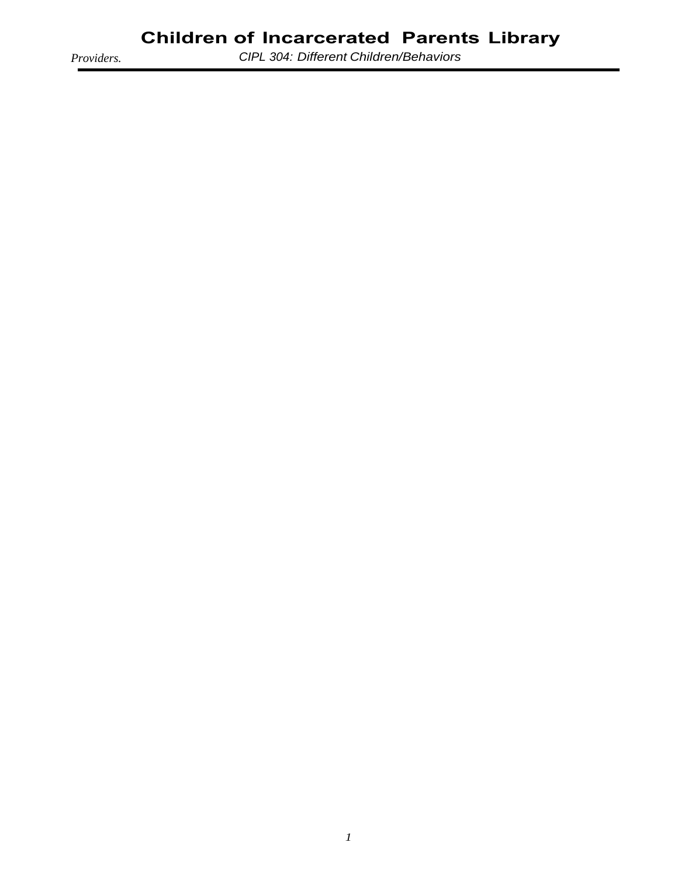*Providers.*

*CIPL 304: Different Children/Behaviors*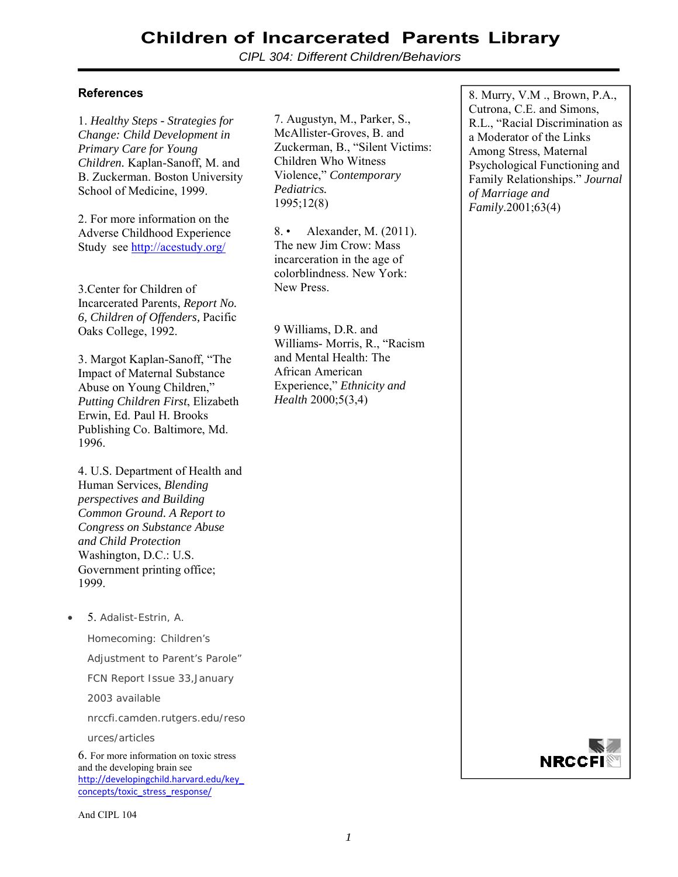*CIPL 304: Different Children/Behaviors*

#### **References**

1. *Healthy Steps - Strategies for Change: Child Development in Primary Care for Young Children.* Kaplan-Sanoff, M. and B. Zuckerman. Boston University School of Medicine, 1999.

2. For more information on the Adverse Childhood Experience Study see http://acestudy.org/

3.Center for Children of Incarcerated Parents, *Report No. 6, Children of Offenders,* Pacific Oaks College, 1992.

3. Margot Kaplan-Sanoff, "The Impact of Maternal Substance Abuse on Young Children," *Putting Children First*, Elizabeth Erwin, Ed. Paul H. Brooks Publishing Co. Baltimore, Md. 1996.

4. U.S. Department of Health and Human Services, *Blending perspectives and Building Common Ground. A Report to Congress on Substance Abuse and Child Protection*  Washington, D.C.: U.S. Government printing office; 1999.

5. Adalist-Estrin, A.

Homecoming: Children's

Adjustment to Parent's Parole"

FCN Report Issue 33,January

2003 available

nrccfi.camden.rutgers.edu/reso

urces/articles

6. For more information on toxic stress and the developing brain see http://developingchild.harvard.edu/key\_ concepts/toxic\_stress\_response/

And CIPL 104

7. Augustyn, M., Parker, S., McAllister-Groves, B. and Zuckerman, B., "Silent Victims: Children Who Witness Violence," *Contemporary Pediatrics.* 1995;12(8)

8. • Alexander, M. (2011). The new Jim Crow: Mass incarceration in the age of colorblindness. New York: New Press.

9 Williams, D.R. and Williams- Morris, R., "Racism and Mental Health: The African American Experience," *Ethnicity and Health* 2000;5(3,4)

8. Murry, V.M ., Brown, P.A., Cutrona, C.E. and Simons, R.L., "Racial Discrimination as a Moderator of the Links Among Stress, Maternal Psychological Functioning and Family Relationships." *Journal of Marriage and Family*.2001;63(4)